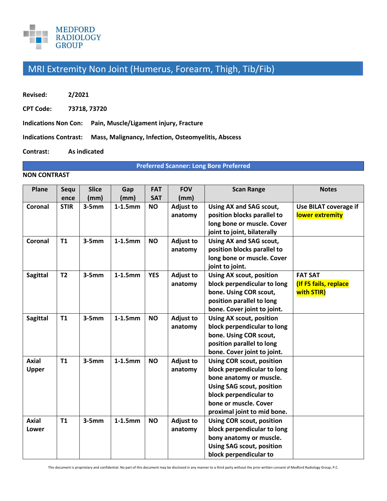

## MRI Extremity Non Joint (Humerus, Forearm, Thigh, Tib/Fib)

**Revised: 2/2021** 

**CPT Code: 73718, 73720** 

**Indications Non Con: Pain, Muscle/Ligament injury, Fracture** 

**Indications Contrast: Mass, Malignancy, Infection, Osteomyelitis, Abscess** 

**Contrast: As indicated** 

**Preferred Scanner: Long Bore Preferred**

#### **NON CONTRAST**

| Plane                        | Sequ<br>ence   | <b>Slice</b><br>(mm) | Gap<br>(mm) | <b>FAT</b><br><b>SAT</b> | <b>FOV</b><br>(mm)          | <b>Scan Range</b>                                                                                                                                                                                                | <b>Notes</b>                                          |
|------------------------------|----------------|----------------------|-------------|--------------------------|-----------------------------|------------------------------------------------------------------------------------------------------------------------------------------------------------------------------------------------------------------|-------------------------------------------------------|
| Coronal                      | <b>STIR</b>    | $3-5mm$              | $1-1.5$ mm  | <b>NO</b>                | <b>Adjust to</b><br>anatomy | Using AX and SAG scout,<br>position blocks parallel to<br>long bone or muscle. Cover<br>joint to joint, bilaterally                                                                                              | Use BILAT coverage if<br>lower extremity              |
| Coronal                      | T1             | $3-5mm$              | $1-1.5$ mm  | <b>NO</b>                | <b>Adjust to</b><br>anatomy | Using AX and SAG scout,<br>position blocks parallel to<br>long bone or muscle. Cover<br>joint to joint.                                                                                                          |                                                       |
| <b>Sagittal</b>              | T <sub>2</sub> | $3-5mm$              | $1-1.5$ mm  | <b>YES</b>               | <b>Adjust to</b><br>anatomy | <b>Using AX scout, position</b><br>block perpendicular to long<br>bone. Using COR scout,<br>position parallel to long<br>bone. Cover joint to joint.                                                             | <b>FAT SAT</b><br>(If FS fails, replace<br>with STIR) |
| <b>Sagittal</b>              | T1             | $3-5mm$              | $1-1.5$ mm  | <b>NO</b>                | <b>Adjust to</b><br>anatomy | <b>Using AX scout, position</b><br>block perpendicular to long<br>bone. Using COR scout,<br>position parallel to long<br>bone. Cover joint to joint.                                                             |                                                       |
| <b>Axial</b><br><b>Upper</b> | <b>T1</b>      | $3-5mm$              | $1-1.5$ mm  | <b>NO</b>                | <b>Adjust to</b><br>anatomy | <b>Using COR scout, position</b><br>block perpendicular to long<br>bone anatomy or muscle.<br><b>Using SAG scout, position</b><br>block perpendicular to<br>bone or muscle. Cover<br>proximal joint to mid bone. |                                                       |
| <b>Axial</b><br>Lower        | <b>T1</b>      | $3-5mm$              | $1-1.5$ mm  | <b>NO</b>                | <b>Adjust to</b><br>anatomy | <b>Using COR scout, position</b><br>block perpendicular to long<br>bony anatomy or muscle.<br><b>Using SAG scout, position</b><br>block perpendicular to                                                         |                                                       |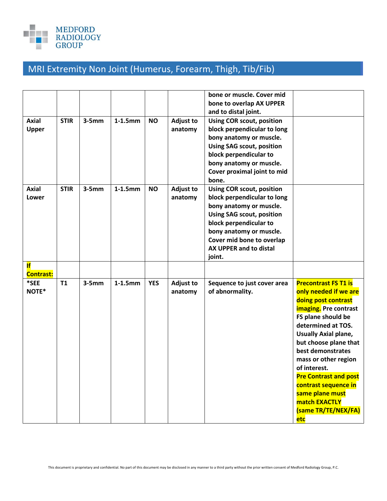

# MRI Extremity Non Joint (Humerus, Forearm, Thigh, Tib/Fib)

|                  |             |         |            |            |                  | bone or muscle. Cover mid        |                              |
|------------------|-------------|---------|------------|------------|------------------|----------------------------------|------------------------------|
|                  |             |         |            |            |                  | bone to overlap AX UPPER         |                              |
|                  |             |         |            |            |                  | and to distal joint.             |                              |
| <b>Axial</b>     | <b>STIR</b> | $3-5mm$ | $1-1.5$ mm | <b>NO</b>  | <b>Adjust to</b> | Using COR scout, position        |                              |
| Upper            |             |         |            |            | anatomy          | block perpendicular to long      |                              |
|                  |             |         |            |            |                  | bony anatomy or muscle.          |                              |
|                  |             |         |            |            |                  | <b>Using SAG scout, position</b> |                              |
|                  |             |         |            |            |                  | block perpendicular to           |                              |
|                  |             |         |            |            |                  | bony anatomy or muscle.          |                              |
|                  |             |         |            |            |                  | Cover proximal joint to mid      |                              |
|                  |             |         |            |            |                  | bone.                            |                              |
| <b>Axial</b>     | <b>STIR</b> | $3-5mm$ | $1-1.5$ mm | <b>NO</b>  | <b>Adjust to</b> | Using COR scout, position        |                              |
| Lower            |             |         |            |            | anatomy          | block perpendicular to long      |                              |
|                  |             |         |            |            |                  | bony anatomy or muscle.          |                              |
|                  |             |         |            |            |                  | <b>Using SAG scout, position</b> |                              |
|                  |             |         |            |            |                  | block perpendicular to           |                              |
|                  |             |         |            |            |                  | bony anatomy or muscle.          |                              |
|                  |             |         |            |            |                  | Cover mid bone to overlap        |                              |
|                  |             |         |            |            |                  | AX UPPER and to distal           |                              |
|                  |             |         |            |            |                  | joint.                           |                              |
| <b>If</b>        |             |         |            |            |                  |                                  |                              |
| <b>Contrast:</b> |             |         |            |            |                  |                                  |                              |
| *SEE             | <b>T1</b>   | $3-5mm$ | $1-1.5$ mm | <b>YES</b> | <b>Adjust to</b> | Sequence to just cover area      | <b>Precontrast FS T1 is</b>  |
| NOTE*            |             |         |            |            | anatomy          | of abnormality.                  | only needed if we are        |
|                  |             |         |            |            |                  |                                  | doing post contrast          |
|                  |             |         |            |            |                  |                                  | imaging. Pre contrast        |
|                  |             |         |            |            |                  |                                  | FS plane should be           |
|                  |             |         |            |            |                  |                                  | determined at TOS.           |
|                  |             |         |            |            |                  |                                  | <b>Usually Axial plane,</b>  |
|                  |             |         |            |            |                  |                                  | but choose plane that        |
|                  |             |         |            |            |                  |                                  | best demonstrates            |
|                  |             |         |            |            |                  |                                  | mass or other region         |
|                  |             |         |            |            |                  |                                  | of interest.                 |
|                  |             |         |            |            |                  |                                  | <b>Pre Contrast and post</b> |
|                  |             |         |            |            |                  |                                  | contrast sequence in         |
|                  |             |         |            |            |                  |                                  | same plane must              |
|                  |             |         |            |            |                  |                                  | match EXACTLY                |
|                  |             |         |            |            |                  |                                  | (same TR/TE/NEX/FA)          |
|                  |             |         |            |            |                  |                                  | etc                          |